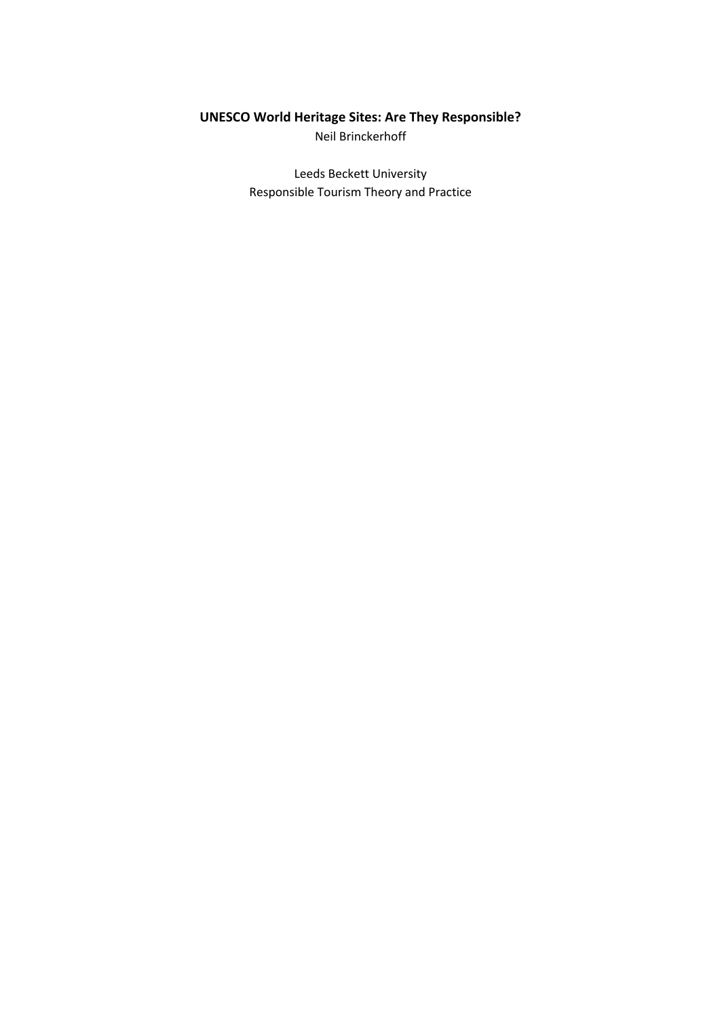## **UNESCO World Heritage Sites: Are They Responsible?** Neil Brinckerhoff

Leeds Beckett University Responsible Tourism Theory and Practice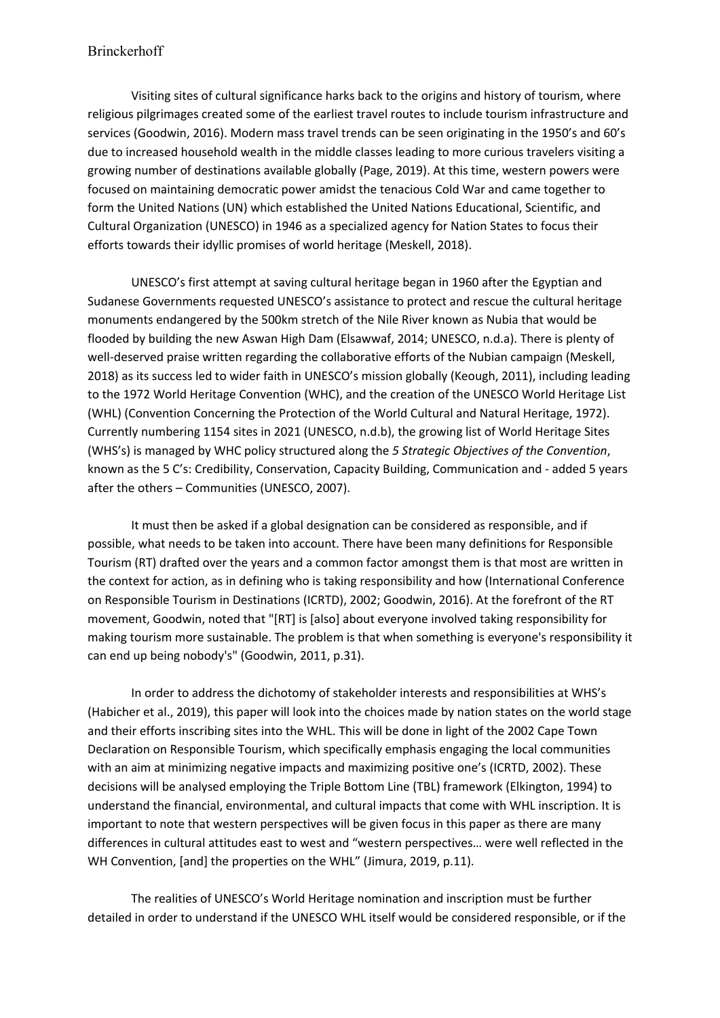Visiting sites of cultural significance harks back to the origins and history of tourism, where religious pilgrimages created some of the earliest travel routes to include tourism infrastructure and services (Goodwin, 2016). Modern mass travel trends can be seen originating in the 1950's and 60's due to increased household wealth in the middle classes leading to more curious travelers visiting a growing number of destinations available globally (Page, 2019). At this time, western powers were focused on maintaining democratic power amidst the tenacious Cold War and came together to form the United Nations (UN) which established the United Nations Educational, Scientific, and Cultural Organization (UNESCO) in 1946 as a specialized agency for Nation States to focus their efforts towards their idyllic promises of world heritage (Meskell, 2018).

UNESCO's first attempt at saving cultural heritage began in 1960 after the Egyptian and Sudanese Governments requested UNESCO's assistance to protect and rescue the cultural heritage monuments endangered by the 500km stretch of the Nile River known as Nubia that would be flooded by building the new Aswan High Dam (Elsawwaf, 2014; UNESCO, n.d.a). There is plenty of well-deserved praise written regarding the collaborative efforts of the Nubian campaign (Meskell, 2018) as its success led to wider faith in UNESCO's mission globally (Keough, 2011), including leading to the 1972 World Heritage Convention (WHC), and the creation of the UNESCO World Heritage List (WHL) (Convention Concerning the Protection of the World Cultural and Natural Heritage, 1972). Currently numbering 1154 sites in 2021 (UNESCO, n.d.b), the growing list of World Heritage Sites (WHS's) is managed by WHC policy structured along the *5 Strategic Objectives of the Convention*, known as the 5 C's: Credibility, Conservation, Capacity Building, Communication and - added 5 years after the others – Communities (UNESCO, 2007).

It must then be asked if a global designation can be considered as responsible, and if possible, what needs to be taken into account. There have been many definitions for Responsible Tourism (RT) drafted over the years and a common factor amongst them is that most are written in the context for action, as in defining who is taking responsibility and how (International Conference on Responsible Tourism in Destinations (ICRTD), 2002; Goodwin, 2016). At the forefront of the RT movement, Goodwin, noted that "[RT] is [also] about everyone involved taking responsibility for making tourism more sustainable. The problem is that when something is everyone's responsibility it can end up being nobody's" (Goodwin, 2011, p.31).

In order to address the dichotomy of stakeholder interests and responsibilities at WHS's (Habicher et al., 2019), this paper will look into the choices made by nation states on the world stage and their efforts inscribing sites into the WHL. This will be done in light of the 2002 Cape Town Declaration on Responsible Tourism, which specifically emphasis engaging the local communities with an aim at minimizing negative impacts and maximizing positive one's (ICRTD, 2002). These decisions will be analysed employing the Triple Bottom Line (TBL) framework (Elkington, 1994) to understand the financial, environmental, and cultural impacts that come with WHL inscription. It is important to note that western perspectives will be given focus in this paper as there are many differences in cultural attitudes east to west and "western perspectives… were well reflected in the WH Convention, [and] the properties on the WHL" (Jimura, 2019, p.11).

The realities of UNESCO's World Heritage nomination and inscription must be further detailed in order to understand if the UNESCO WHL itself would be considered responsible, or if the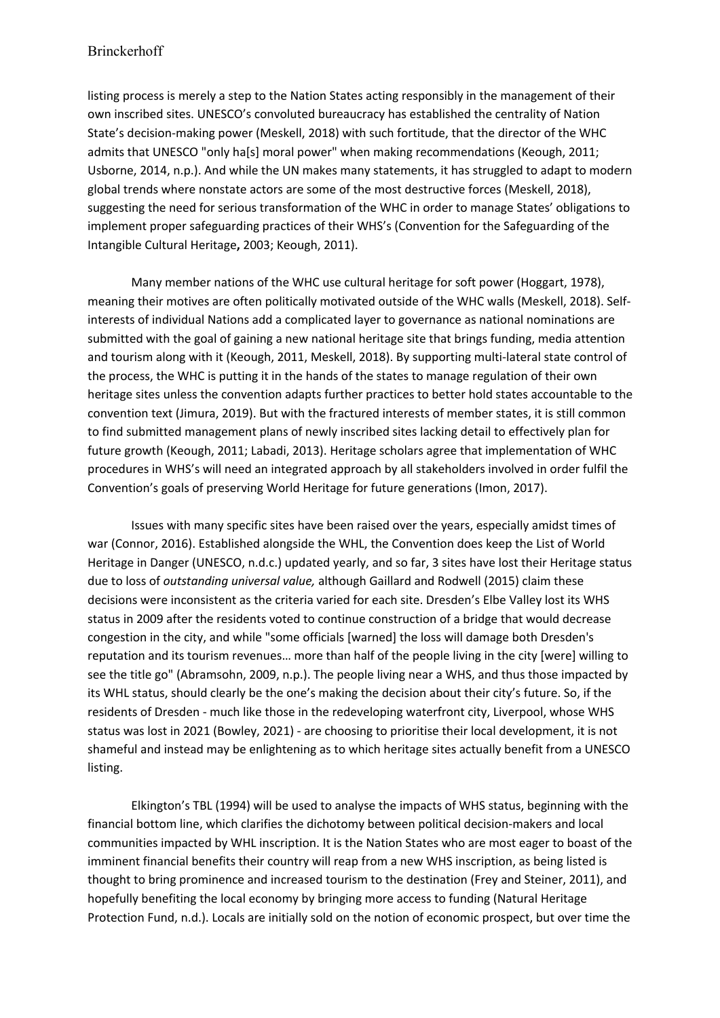listing process is merely a step to the Nation States acting responsibly in the management of their own inscribed sites. UNESCO's convoluted bureaucracy has established the centrality of Nation State's decision-making power (Meskell, 2018) with such fortitude, that the director of the WHC admits that UNESCO "only ha[s] moral power" when making recommendations (Keough, 2011; Usborne, 2014, n.p.). And while the UN makes many statements, it has struggled to adapt to modern global trends where nonstate actors are some of the most destructive forces (Meskell, 2018), suggesting the need for serious transformation of the WHC in order to manage States' obligations to implement proper safeguarding practices of their WHS's (Convention for the Safeguarding of the Intangible Cultural Heritage**,** 2003; Keough, 2011).

Many member nations of the WHC use cultural heritage for soft power (Hoggart, 1978), meaning their motives are often politically motivated outside of the WHC walls (Meskell, 2018). Selfinterests of individual Nations add a complicated layer to governance as national nominations are submitted with the goal of gaining a new national heritage site that brings funding, media attention and tourism along with it (Keough, 2011, Meskell, 2018). By supporting multi-lateral state control of the process, the WHC is putting it in the hands of the states to manage regulation of their own heritage sites unless the convention adapts further practices to better hold states accountable to the convention text (Jimura, 2019). But with the fractured interests of member states, it is still common to find submitted management plans of newly inscribed sites lacking detail to effectively plan for future growth (Keough, 2011; Labadi, 2013). Heritage scholars agree that implementation of WHC procedures in WHS's will need an integrated approach by all stakeholders involved in order fulfil the Convention's goals of preserving World Heritage for future generations (Imon, 2017).

Issues with many specific sites have been raised over the years, especially amidst times of war (Connor, 2016). Established alongside the WHL, the Convention does keep the List of World Heritage in Danger (UNESCO, n.d.c.) updated yearly, and so far, 3 sites have lost their Heritage status due to loss of *outstanding universal value,* although Gaillard and Rodwell (2015) claim these decisions were inconsistent as the criteria varied for each site. Dresden's Elbe Valley lost its WHS status in 2009 after the residents voted to continue construction of a bridge that would decrease congestion in the city, and while "some officials [warned] the loss will damage both Dresden's reputation and its tourism revenues… more than half of the people living in the city [were] willing to see the title go" (Abramsohn, 2009, n.p.). The people living near a WHS, and thus those impacted by its WHL status, should clearly be the one's making the decision about their city's future. So, if the residents of Dresden - much like those in the redeveloping waterfront city, Liverpool, whose WHS status was lost in 2021 (Bowley, 2021) - are choosing to prioritise their local development, it is not shameful and instead may be enlightening as to which heritage sites actually benefit from a UNESCO listing.

Elkington's TBL (1994) will be used to analyse the impacts of WHS status, beginning with the financial bottom line, which clarifies the dichotomy between political decision-makers and local communities impacted by WHL inscription. It is the Nation States who are most eager to boast of the imminent financial benefits their country will reap from a new WHS inscription, as being listed is thought to bring prominence and increased tourism to the destination (Frey and Steiner, 2011), and hopefully benefiting the local economy by bringing more access to funding (Natural Heritage Protection Fund, n.d.). Locals are initially sold on the notion of economic prospect, but over time the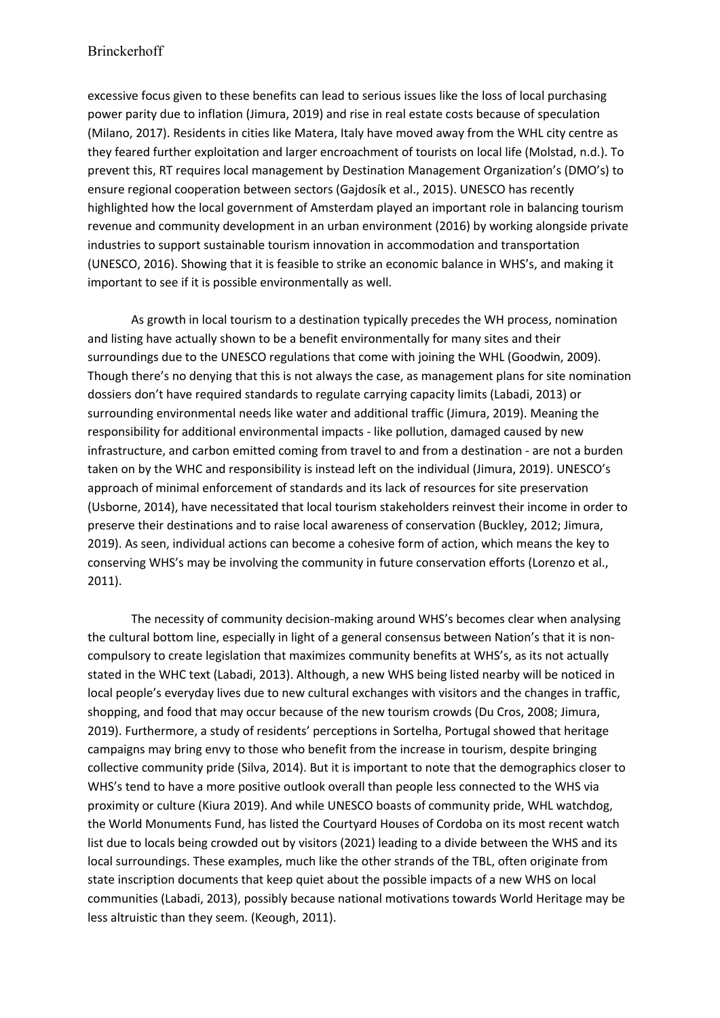## Brinckerhoff

excessive focus given to these benefits can lead to serious issues like the loss of local purchasing power parity due to inflation (Jimura, 2019) and rise in real estate costs because of speculation (Milano, 2017). Residents in cities like Matera, Italy have moved away from the WHL city centre as they feared further exploitation and larger encroachment of tourists on local life (Molstad, n.d.). To prevent this, RT requires local management by Destination Management Organization's (DMO's) to ensure regional cooperation between sectors (Gajdosík et al., 2015). UNESCO has recently highlighted how the local government of Amsterdam played an important role in balancing tourism revenue and community development in an urban environment (2016) by working alongside private industries to support sustainable tourism innovation in accommodation and transportation (UNESCO, 2016). Showing that it is feasible to strike an economic balance in WHS's, and making it important to see if it is possible environmentally as well.

As growth in local tourism to a destination typically precedes the WH process, nomination and listing have actually shown to be a benefit environmentally for many sites and their surroundings due to the UNESCO regulations that come with joining the WHL (Goodwin, 2009). Though there's no denying that this is not always the case, as management plans for site nomination dossiers don't have required standards to regulate carrying capacity limits (Labadi, 2013) or surrounding environmental needs like water and additional traffic (Jimura, 2019). Meaning the responsibility for additional environmental impacts - like pollution, damaged caused by new infrastructure, and carbon emitted coming from travel to and from a destination - are not a burden taken on by the WHC and responsibility is instead left on the individual (Jimura, 2019). UNESCO's approach of minimal enforcement of standards and its lack of resources for site preservation (Usborne, 2014), have necessitated that local tourism stakeholders reinvest their income in order to preserve their destinations and to raise local awareness of conservation (Buckley, 2012; Jimura, 2019). As seen, individual actions can become a cohesive form of action, which means the key to conserving WHS's may be involving the community in future conservation efforts (Lorenzo et al., 2011).

The necessity of community decision-making around WHS's becomes clear when analysing the cultural bottom line, especially in light of a general consensus between Nation's that it is noncompulsory to create legislation that maximizes community benefits at WHS's, as its not actually stated in the WHC text (Labadi, 2013). Although, a new WHS being listed nearby will be noticed in local people's everyday lives due to new cultural exchanges with visitors and the changes in traffic, shopping, and food that may occur because of the new tourism crowds (Du Cros, 2008; Jimura, 2019). Furthermore, a study of residents' perceptions in Sortelha, Portugal showed that heritage campaigns may bring envy to those who benefit from the increase in tourism, despite bringing collective community pride (Silva, 2014). But it is important to note that the demographics closer to WHS's tend to have a more positive outlook overall than people less connected to the WHS via proximity or culture (Kiura 2019). And while UNESCO boasts of community pride, WHL watchdog, the World Monuments Fund, has listed the Courtyard Houses of Cordoba on its most recent watch list due to locals being crowded out by visitors (2021) leading to a divide between the WHS and its local surroundings. These examples, much like the other strands of the TBL, often originate from state inscription documents that keep quiet about the possible impacts of a new WHS on local communities (Labadi, 2013), possibly because national motivations towards World Heritage may be less altruistic than they seem. (Keough, 2011).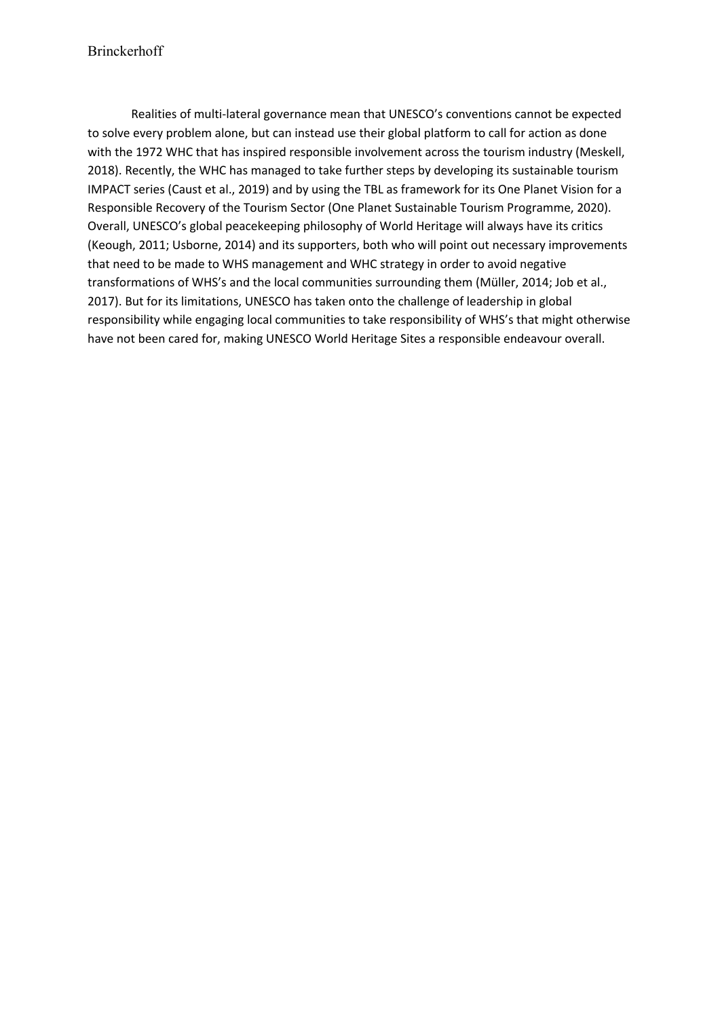Realities of multi-lateral governance mean that UNESCO's conventions cannot be expected to solve every problem alone, but can instead use their global platform to call for action as done with the 1972 WHC that has inspired responsible involvement across the tourism industry (Meskell, 2018). Recently, the WHC has managed to take further steps by developing its sustainable tourism IMPACT series (Caust et al., 2019) and by using the TBL as framework for its One Planet Vision for a Responsible Recovery of the Tourism Sector (One Planet Sustainable Tourism Programme, 2020). Overall, UNESCO's global peacekeeping philosophy of World Heritage will always have its critics (Keough, 2011; Usborne, 2014) and its supporters, both who will point out necessary improvements that need to be made to WHS management and WHC strategy in order to avoid negative transformations of WHS's and the local communities surrounding them (Müller, 2014; Job et al., 2017). But for its limitations, UNESCO has taken onto the challenge of leadership in global responsibility while engaging local communities to take responsibility of WHS's that might otherwise have not been cared for, making UNESCO World Heritage Sites a responsible endeavour overall.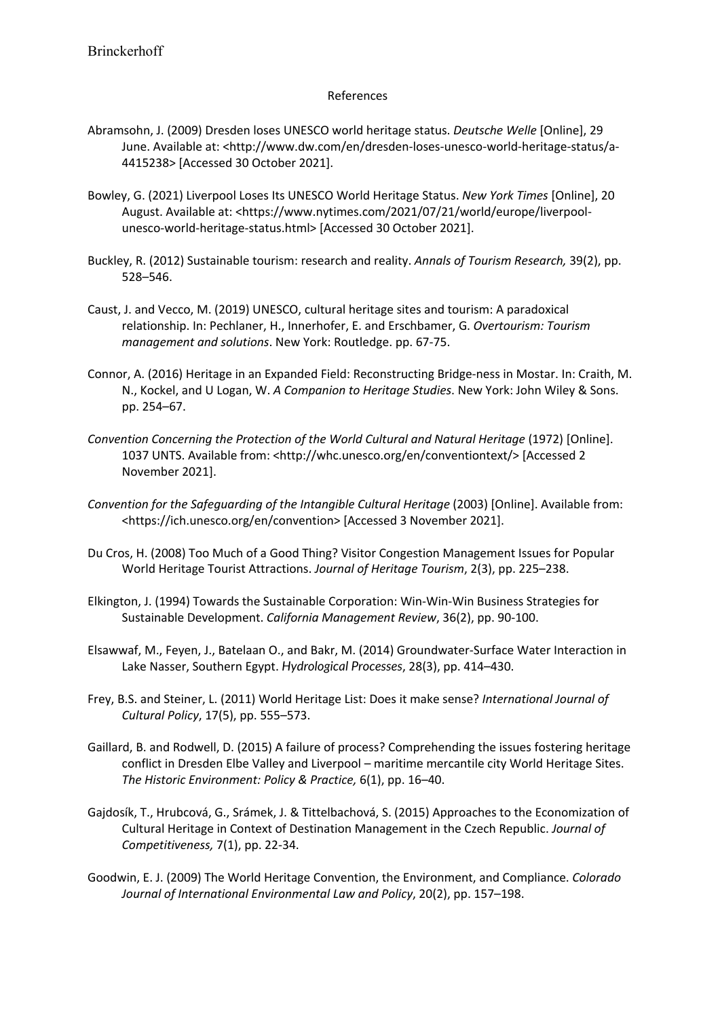## References

- Abramsohn, J. (2009) Dresden loses UNESCO world heritage status. *Deutsche Welle* [Online], 29 June. Available at: <http://www.dw.com/en/dresden-loses-unesco-world-heritage-status/a-4415238> [Accessed 30 October 2021].
- Bowley, G. (2021) Liverpool Loses Its UNESCO World Heritage Status. *New York Times* [Online], 20 August. Available at: <https://www.nytimes.com/2021/07/21/world/europe/liverpoolunesco-world-heritage-status.html> [Accessed 30 October 2021].
- Buckley, R. (2012) Sustainable tourism: research and reality. *Annals of Tourism Research,* 39(2), pp. 528–546.
- Caust, J. and Vecco, M. (2019) UNESCO, cultural heritage sites and tourism: A paradoxical relationship. In: Pechlaner, H., Innerhofer, E. and Erschbamer, G. *Overtourism: Tourism management and solutions*. New York: Routledge. pp. 67-75.
- Connor, A. (2016) Heritage in an Expanded Field: Reconstructing Bridge-ness in Mostar. In: Craith, M. N., Kockel, and U Logan, W. *A Companion to Heritage Studies*. New York: John Wiley & Sons. pp. 254–67.
- *Convention Concerning the Protection of the World Cultural and Natural Heritage* (1972) [Online]. 1037 UNTS. Available from: <http://whc.unesco.org/en/conventiontext/> [Accessed 2 November 2021].
- *Convention for the Safeguarding of the Intangible Cultural Heritage* (2003) [Online]. Available from: <https://ich.unesco.org/en/convention> [Accessed 3 November 2021].
- Du Cros, H. (2008) Too Much of a Good Thing? Visitor Congestion Management Issues for Popular World Heritage Tourist Attractions. *Journal of Heritage Tourism*, 2(3), pp. 225–238.
- Elkington, J. (1994) Towards the Sustainable Corporation: Win-Win-Win Business Strategies for Sustainable Development. *California Management Review*, 36(2), pp. 90-100.
- Elsawwaf, M., Feyen, J., Batelaan O., and Bakr, M. (2014) Groundwater-Surface Water Interaction in Lake Nasser, Southern Egypt. *Hydrological Processes*, 28(3), pp. 414–430.
- Frey, B.S. and Steiner, L. (2011) World Heritage List: Does it make sense? *International Journal of Cultural Policy*, 17(5), pp. 555–573.
- Gaillard, B. and Rodwell, D. (2015) A failure of process? Comprehending the issues fostering heritage conflict in Dresden Elbe Valley and Liverpool – maritime mercantile city World Heritage Sites. *The Historic Environment: Policy & Practice,* 6(1), pp. 16–40.
- Gajdosík, T., Hrubcová, G., Srámek, J. & Tittelbachová, S. (2015) Approaches to the Economization of Cultural Heritage in Context of Destination Management in the Czech Republic. *Journal of Competitiveness,* 7(1), pp. 22-34.
- Goodwin, E. J. (2009) The World Heritage Convention, the Environment, and Compliance. *Colorado Journal of International Environmental Law and Policy*, 20(2), pp. 157–198.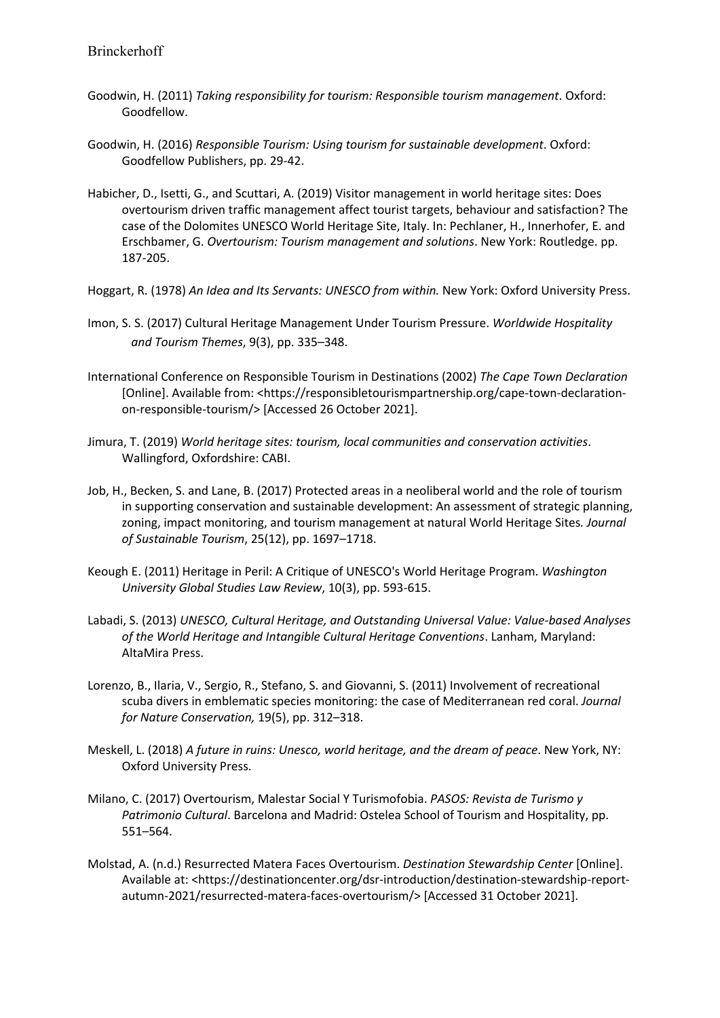- Goodwin, H. (2011) *Taking responsibility for tourism: Responsible tourism management*. Oxford: Goodfellow.
- Goodwin, H. (2016) *Responsible Tourism: Using tourism for sustainable development*. Oxford: Goodfellow Publishers, pp. 29-42.
- Habicher, D., Isetti, G., and Scuttari, A. (2019) Visitor management in world heritage sites: Does overtourism driven traffic management affect tourist targets, behaviour and satisfaction? The case of the Dolomites UNESCO World Heritage Site, Italy. In: Pechlaner, H., Innerhofer, E. and Erschbamer, G. *Overtourism: Tourism management and solutions*. New York: Routledge. pp. 187-205.
- Hoggart, R. (1978) *An Idea and Its Servants: UNESCO from within.* New York: Oxford University Press.
- Imon, S. S. (2017) Cultural Heritage Management Under Tourism Pressure. *Worldwide Hospitality and Tourism Themes*, 9(3), pp. 335–348.
- International Conference on Responsible Tourism in Destinations (2002) *The Cape Town Declaration* [Online]. Available from: <https://responsibletourismpartnership.org/cape-town-declarationon-responsible-tourism/> [Accessed 26 October 2021].
- Jimura, T. (2019) *World heritage sites: tourism, local communities and conservation activities*. Wallingford, Oxfordshire: CABI.
- Job, H., Becken, S. and Lane, B. (2017) Protected areas in a neoliberal world and the role of tourism in supporting conservation and sustainable development: An assessment of strategic planning, zoning, impact monitoring, and tourism management at natural World Heritage Sites*. Journal of Sustainable Tourism*, 25(12), pp. 1697–1718.
- Keough E. (2011) Heritage in Peril: A Critique of UNESCO's World Heritage Program. *Washington University Global Studies Law Review*, 10(3), pp. 593-615.
- Labadi, S. (2013) *UNESCO, Cultural Heritage, and Outstanding Universal Value: Value-based Analyses of the World Heritage and Intangible Cultural Heritage Conventions*. Lanham, Maryland: AltaMira Press.
- Lorenzo, B., Ilaria, V., Sergio, R., Stefano, S. and Giovanni, S. (2011) Involvement of recreational scuba divers in emblematic species monitoring: the case of Mediterranean red coral. *Journal for Nature Conservation,* 19(5), pp. 312–318.
- Meskell, L. (2018) *A future in ruins: Unesco, world heritage, and the dream of peace*. New York, NY: Oxford University Press.
- Milano, C. (2017) Overtourism, Malestar Social Y Turismofobia. *PASOS: Revista de Turismo y Patrimonio Cultural*. Barcelona and Madrid: Ostelea School of Tourism and Hospitality, pp. 551–564.
- Molstad, A. (n.d.) Resurrected Matera Faces Overtourism. *Destination Stewardship Center* [Online]. Available at: <https://destinationcenter.org/dsr-introduction/destination-stewardship-reportautumn-2021/resurrected-matera-faces-overtourism/> [Accessed 31 October 2021].